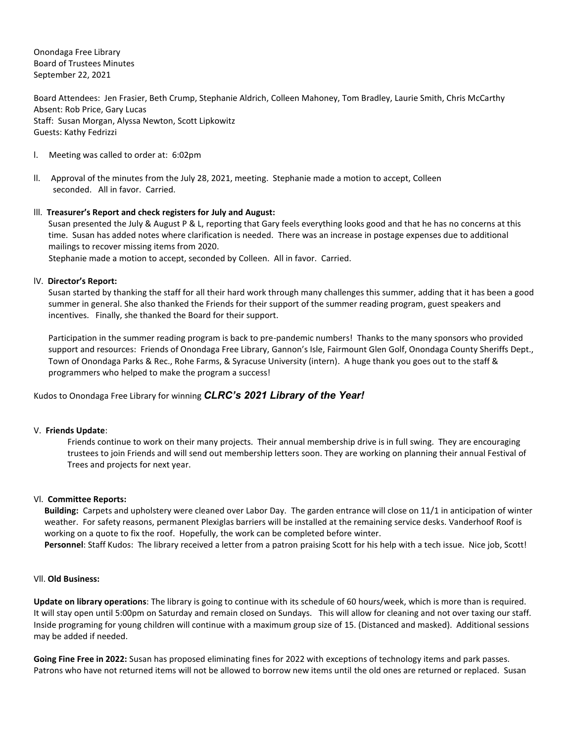Onondaga Free Library Board of Trustees Minutes September 22, 2021

Board Attendees: Jen Frasier, Beth Crump, Stephanie Aldrich, Colleen Mahoney, Tom Bradley, Laurie Smith, Chris McCarthy Absent: Rob Price, Gary Lucas Staff: Susan Morgan, Alyssa Newton, Scott Lipkowitz Guests: Kathy Fedrizzi

- l. Meeting was called to order at: 6:02pm
- ll. Approval of the minutes from the July 28, 2021, meeting. Stephanie made a motion to accept, Colleen seconded. All in favor. Carried.

# lll. **Treasurer's Report and check registers for July and August:**

Susan presented the July & August P & L, reporting that Gary feels everything looks good and that he has no concerns at this time. Susan has added notes where clarification is needed. There was an increase in postage expenses due to additional mailings to recover missing items from 2020.

Stephanie made a motion to accept, seconded by Colleen. All in favor. Carried.

# lV. **Director's Report:**

Susan started by thanking the staff for all their hard work through many challenges this summer, adding that it has been a good summer in general. She also thanked the Friends for their support of the summer reading program, guest speakers and incentives. Finally, she thanked the Board for their support.

Participation in the summer reading program is back to pre-pandemic numbers! Thanks to the many sponsors who provided support and resources: Friends of Onondaga Free Library, Gannon's Isle, Fairmount Glen Golf, Onondaga County Sheriffs Dept., Town of Onondaga Parks & Rec., Rohe Farms, & Syracuse University (intern). A huge thank you goes out to the staff & programmers who helped to make the program a success!

Kudos to Onondaga Free Library for winning *CLRC's 2021 Library of the Year!* 

## V. **Friends Update**:

Friends continue to work on their many projects. Their annual membership drive is in full swing. They are encouraging trustees to join Friends and will send out membership letters soon. They are working on planning their annual Festival of Trees and projects for next year.

## Vl. **Committee Reports:**

**Building:** Carpets and upholstery were cleaned over Labor Day. The garden entrance will close on 11/1 in anticipation of winter weather. For safety reasons, permanent Plexiglas barriers will be installed at the remaining service desks. Vanderhoof Roof is working on a quote to fix the roof. Hopefully, the work can be completed before winter.

**Personnel**: Staff Kudos: The library received a letter from a patron praising Scott for his help with a tech issue. Nice job, Scott!

## Vll. **Old Business:**

**Update on library operations**: The library is going to continue with its schedule of 60 hours/week, which is more than is required. It will stay open until 5:00pm on Saturday and remain closed on Sundays. This will allow for cleaning and not over taxing our staff. Inside programing for young children will continue with a maximum group size of 15. (Distanced and masked). Additional sessions may be added if needed.

**Going Fine Free in 2022:** Susan has proposed eliminating fines for 2022 with exceptions of technology items and park passes. Patrons who have not returned items will not be allowed to borrow new items until the old ones are returned or replaced. Susan